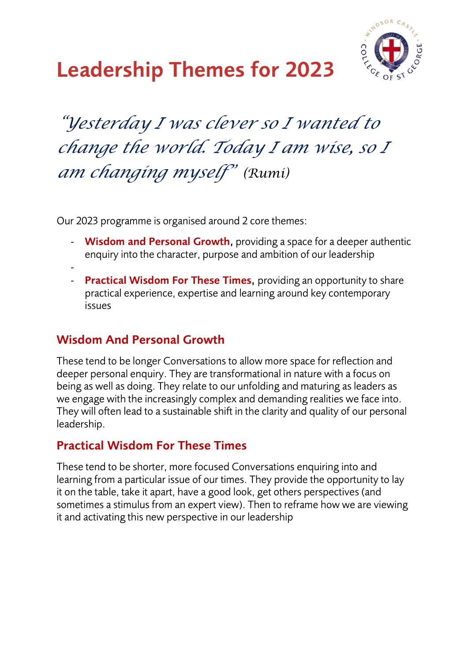

# **Leadership Themes for 2023**

## *"Yesterday I was clever so I wanted to change the world. Today I am wise, so I am changing myself" (Rumi)*

Our 2023 programme is organised around 2 core themes:

- **Wisdom and Personal Growth,** providing a space for a deeper authentic enquiry into the character, purpose and ambition of our leadership
- -
- **Practical Wisdom For These Times,** providing an opportunity to share practical experience, expertise and learning around key contemporary issues

#### **Wisdom And Personal Growth**

These tend to be longer Conversations to allow more space for reflection and deeper personal enquiry. They are transformational in nature with a focus on being as well as doing. They relate to our unfolding and maturing as leaders as we engage with the increasingly complex and demanding realities we face into. They will often lead to a sustainable shift in the clarity and quality of our personal leadership.

#### **Practical Wisdom For These Times**

These tend to be shorter, more focused Conversations enquiring into and learning from a particular issue of our times. They provide the opportunity to lay it on the table, take it apart, have a good look, get others perspectives (and sometimes a stimulus from an expert view). Then to reframe how we are viewing it and activating this new perspective in our leadership